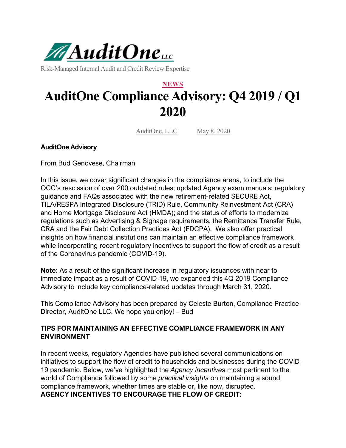

Risk-Managed Internal Audit and Credit Review Expertise

# **NEWS AuditOne Compliance Advisory: Q4 2019 / Q1 2020**

AuditOne, LLC May 8, 2020

#### **AuditOne Advisory**

From Bud Genovese, Chairman

In this issue, we cover significant changes in the compliance arena, to include the OCC's rescission of over 200 outdated rules; updated Agency exam manuals; regulatory guidance and FAQs associated with the new retirement-related SECURE Act, TILA/RESPA Integrated Disclosure (TRID) Rule, Community Reinvestment Act (CRA) and Home Mortgage Disclosure Act (HMDA); and the status of efforts to modernize regulations such as Advertising & Signage requirements, the Remittance Transfer Rule, CRA and the Fair Debt Collection Practices Act (FDCPA). We also offer practical insights on how financial institutions can maintain an effective compliance framework while incorporating recent regulatory incentives to support the flow of credit as a result of the Coronavirus pandemic (COVID-19).

**Note:** As a result of the significant increase in regulatory issuances with near to immediate impact as a result of COVID-19, we expanded this 4Q 2019 Compliance Advisory to include key compliance-related updates through March 31, 2020.

This Compliance Advisory has been prepared by Celeste Burton, Compliance Practice Director, AuditOne LLC. We hope you enjoy! – Bud

#### **TIPS FOR MAINTAINING AN EFFECTIVE COMPLIANCE FRAMEWORK IN ANY ENVIRONMENT**

In recent weeks, regulatory Agencies have published several communications on initiatives to support the flow of credit to households and businesses during the COVID-19 pandemic. Below, we've highlighted the *Agency incentives* most pertinent to the world of Compliance followed by some *practical insights* on maintaining a sound compliance framework, whether times are stable or, like now, disrupted. **AGENCY INCENTIVES TO ENCOURAGE THE FLOW OF CREDIT:**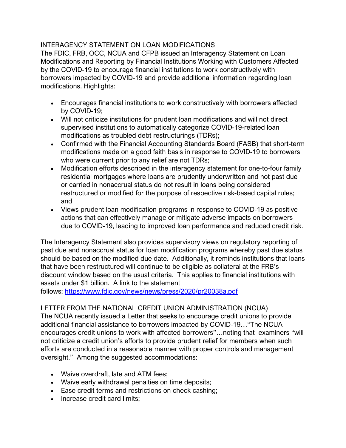#### INTERAGENCY STATEMENT ON LOAN MODIFICATIONS

The FDIC, FRB, OCC, NCUA and CFPB issued an Interagency Statement on Loan Modifications and Reporting by Financial Institutions Working with Customers Affected by the COVID-19 to encourage financial institutions to work constructively with borrowers impacted by COVID-19 and provide additional information regarding loan modifications. Highlights:

- Encourages financial institutions to work constructively with borrowers affected by COVID-19;
- Will not criticize institutions for prudent loan modifications and will not direct supervised institutions to automatically categorize COVID-19-related loan modifications as troubled debt restructurings (TDRs);
- Confirmed with the Financial Accounting Standards Board (FASB) that short-term modifications made on a good faith basis in response to COVID-19 to borrowers who were current prior to any relief are not TDRs;
- Modification efforts described in the interagency statement for one-to-four family residential mortgages where loans are prudently underwritten and not past due or carried in nonaccrual status do not result in loans being considered restructured or modified for the purpose of respective risk-based capital rules; and
- Views prudent loan modification programs in response to COVID-19 as positive actions that can effectively manage or mitigate adverse impacts on borrowers due to COVID-19, leading to improved loan performance and reduced credit risk.

The Interagency Statement also provides supervisory views on regulatory reporting of past due and nonaccrual status for loan modification programs whereby past due status should be based on the modified due date. Additionally, it reminds institutions that loans that have been restructured will continue to be eligible as collateral at the FRB's discount window based on the usual criteria. This applies to financial institutions with assets under \$1 billion. A link to the statement

follows: <https://www.fdic.gov/news/news/press/2020/pr20038a.pdf>

#### LETTER FROM THE NATIONAL CREDIT UNION ADMINISTRATION (NCUA)

The NCUA recently issued a Letter that seeks to encourage credit unions to provide additional financial assistance to borrowers impacted by COVID-19…"The NCUA encourages credit unions to work with affected borrowers"…noting that examiners "will not criticize a credit union's efforts to provide prudent relief for members when such efforts are conducted in a reasonable manner with proper controls and management oversight." Among the suggested accommodations:

- Waive overdraft, late and ATM fees;
- Waive early withdrawal penalties on time deposits;
- Ease credit terms and restrictions on check cashing;
- Increase credit card limits: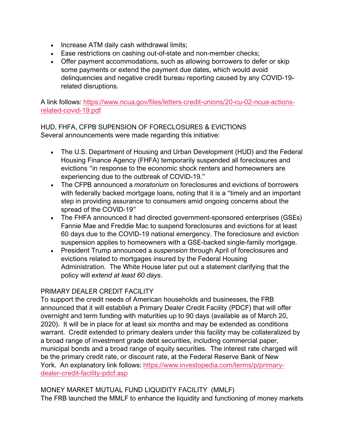- Increase ATM daily cash withdrawal limits;
- Ease restrictions on cashing out-of-state and non-member checks;
- Offer payment accommodations, such as allowing borrowers to defer or skip some payments or extend the payment due dates, which would avoid delinquencies and negative credit bureau reporting caused by any COVID-19 related disruptions.

A link follows: [https://www.ncua.gov/files/letters-credit-unions/20-cu-02-ncua-actions](https://www.ncua.gov/files/letters-credit-unions/20-cu-02-ncua-actions-related-covid-19.pdf)[related-covid-19.pdf](https://www.ncua.gov/files/letters-credit-unions/20-cu-02-ncua-actions-related-covid-19.pdf)

HUD, FHFA, CFPB SUPENSION OF FORECLOSURES & EVICTIONS Several announcements were made regarding this initiative:

- The U.S. Department of Housing and Urban Development (HUD) and the Federal Housing Finance Agency (FHFA) temporarily suspended all foreclosures and evictions "in response to the economic shock renters and homeowners are experiencing due to the outbreak of COVID-19."
- The CFPB announced a *moratorium* on foreclosures and evictions of borrowers with federally backed mortgage loans, noting that it is a "timely and an important step in providing assurance to consumers amid ongoing concerns about the spread of the COVID-19"
- The FHFA announced it had directed government-sponsored enterprises (GSEs) Fannie Mae and Freddie Mac to suspend foreclosures and evictions for at least 60 days due to the COVID-19 national emergency. The foreclosure and eviction suspension applies to homeowners with a GSE-backed single-family mortgage.
- President Trump announced a *suspension* through April of foreclosures and evictions related to mortgages insured by the Federal Housing Administration. The White House later put out a statement clarifying that the policy will *extend at least 60 days*.

#### PRIMARY DEALER CREDIT FACILITY

To support the credit needs of American households and businesses, the FRB announced that it will establish a Primary Dealer Credit Facility (PDCF) that will offer overnight and term funding with maturities up to 90 days (available as of March 20, 2020). It will be in place for at least six months and may be extended as conditions warrant. Credit extended to primary dealers under this facility may be collateralized by a broad range of investment grade debt securities, including commercial paper, municipal bonds and a broad range of equity securities. The interest rate charged will be the primary credit rate, or discount rate, at the Federal Reserve Bank of New York. An explanatory link follows: [https://www.investopedia.com/terms/p/primary](https://www.investopedia.com/terms/p/primary-dealer-credit-facility-pdcf.asp)[dealer-credit-facility-pdcf.asp](https://www.investopedia.com/terms/p/primary-dealer-credit-facility-pdcf.asp)

MONEY MARKET MUTUAL FUND LIQUIDITY FACILITY (MMLF) The FRB launched the MMLF to enhance the liquidity and functioning of money markets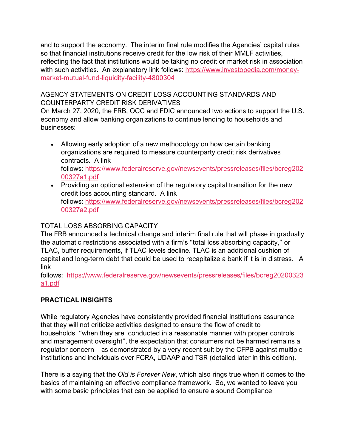and to support the economy. The interim final rule modifies the Agencies' capital rules so that financial institutions receive credit for the low risk of their MMLF activities, reflecting the fact that institutions would be taking no credit or market risk in association with such activities. An explanatory link follows: [https://www.investopedia.com/money](https://www.investopedia.com/money-market-mutual-fund-liquidity-facility-4800304)[market-mutual-fund-liquidity-facility-4800304](https://www.investopedia.com/money-market-mutual-fund-liquidity-facility-4800304)

## AGENCY STATEMENTS ON CREDIT LOSS ACCOUNTING STANDARDS AND COUNTERPARTY CREDIT RISK DERIVATIVES

On March 27, 2020, the FRB, OCC and FDIC announced two actions to support the U.S. economy and allow banking organizations to continue lending to households and businesses:

- Allowing early adoption of a new methodology on how certain banking organizations are required to measure counterparty credit risk derivatives contracts. A link follows: [https://www.federalreserve.gov/newsevents/pressreleases/files/bcreg202](https://www.federalreserve.gov/newsevents/pressreleases/files/bcreg20200327a1.pdf) [00327a1.pdf](https://www.federalreserve.gov/newsevents/pressreleases/files/bcreg20200327a1.pdf)
- Providing an optional extension of the regulatory capital transition for the new credit loss accounting standard. A link follows: [https://www.federalreserve.gov/newsevents/pressreleases/files/bcreg202](https://www.federalreserve.gov/newsevents/pressreleases/files/bcreg20200327a2.pdf) [00327a2.pdf](https://www.federalreserve.gov/newsevents/pressreleases/files/bcreg20200327a2.pdf)

## TOTAL LOSS ABSORBING CAPACITY

The FRB announced a technical change and interim final rule that will phase in gradually the automatic restrictions associated with a firm's "total loss absorbing capacity," or TLAC, buffer requirements, if TLAC levels decline. TLAC is an additional cushion of capital and long-term debt that could be used to recapitalize a bank if it is in distress. A link

follows: [https://www.federalreserve.gov/newsevents/pressreleases/files/bcreg20200323](https://www.federalreserve.gov/newsevents/pressreleases/files/bcreg20200323a1.pdf) [a1.pdf](https://www.federalreserve.gov/newsevents/pressreleases/files/bcreg20200323a1.pdf)

# **PRACTICAL INSIGHTS**

While regulatory Agencies have consistently provided financial institutions assurance that they will not criticize activities designed to ensure the flow of credit to households "when they are conducted in a reasonable manner with proper controls and management oversight", the expectation that consumers not be harmed remains a regulator concern – as demonstrated by a very recent suit by the CFPB against multiple institutions and individuals over FCRA, UDAAP and TSR (detailed later in this edition).

There is a saying that the *Old is Forever New*, which also rings true when it comes to the basics of maintaining an effective compliance framework. So, we wanted to leave you with some basic principles that can be applied to ensure a sound Compliance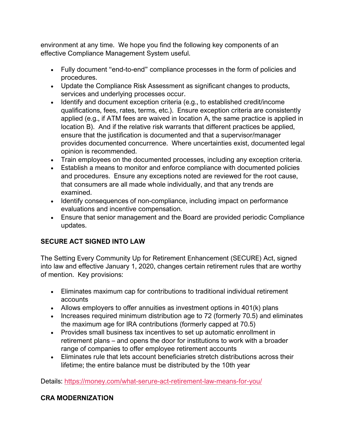environment at any time. We hope you find the following key components of an effective Compliance Management System useful.

- Fully document "end-to-end" compliance processes in the form of policies and procedures.
- Update the Compliance Risk Assessment as significant changes to products, services and underlying processes occur.
- Identify and document exception criteria (e.g., to established credit/income qualifications, fees, rates, terms, etc.). Ensure exception criteria are consistently applied (e.g., if ATM fees are waived in location A, the same practice is applied in location B). And if the relative risk warrants that different practices be applied, ensure that the justification is documented and that a supervisor/manager provides documented concurrence. Where uncertainties exist, documented legal opinion is recommended.
- Train employees on the documented processes, including any exception criteria.
- Establish a means to monitor and enforce compliance with documented policies and procedures. Ensure any exceptions noted are reviewed for the root cause, that consumers are all made whole individually, and that any trends are examined.
- Identify consequences of non-compliance, including impact on performance evaluations and incentive compensation.
- Ensure that senior management and the Board are provided periodic Compliance updates.

# **SECURE ACT SIGNED INTO LAW**

The Setting Every Community Up for Retirement Enhancement (SECURE) Act, signed into law and effective January 1, 2020, changes certain retirement rules that are worthy of mention. Key provisions:

- Eliminates maximum cap for contributions to traditional individual retirement accounts
- Allows employers to offer annuities as investment options in 401(k) plans
- Increases required minimum distribution age to 72 (formerly 70.5) and eliminates the maximum age for IRA contributions (formerly capped at 70.5)
- Provides small business tax incentives to set up automatic enrollment in retirement plans – and opens the door for institutions to work with a broader range of companies to offer employee retirement accounts
- Eliminates rule that lets account beneficiaries stretch distributions across their lifetime; the entire balance must be distributed by the 10th year

Details: <https://money.com/what-serure-act-retirement-law-means-for-you/>

# **CRA MODERNIZATION**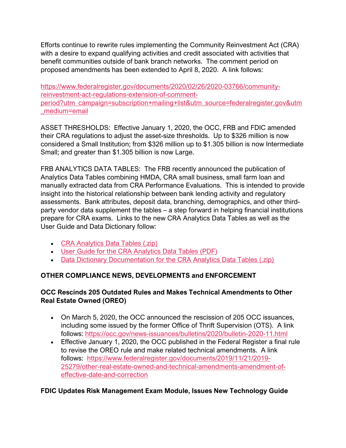Efforts continue to rewrite rules implementing the Community Reinvestment Act (CRA) with a desire to expand qualifying activities and credit associated with activities that benefit communities outside of bank branch networks. The comment period on proposed amendments has been extended to April 8, 2020. A link follows:

[https://www.federalregister.gov/documents/2020/02/26/2020-03766/community](https://www.federalregister.gov/documents/2020/02/26/2020-03766/community-reinvestment-act-regulations-extension-of-comment-period?utm_campaign=subscription+mailing+list&utm_source=federalregister.gov&utm_medium=email)[reinvestment-act-regulations-extension-of-comment](https://www.federalregister.gov/documents/2020/02/26/2020-03766/community-reinvestment-act-regulations-extension-of-comment-period?utm_campaign=subscription+mailing+list&utm_source=federalregister.gov&utm_medium=email)[period?utm\\_campaign=subscription+mailing+list&utm\\_source=federalregister.gov&utm](https://www.federalregister.gov/documents/2020/02/26/2020-03766/community-reinvestment-act-regulations-extension-of-comment-period?utm_campaign=subscription+mailing+list&utm_source=federalregister.gov&utm_medium=email) [\\_medium=email](https://www.federalregister.gov/documents/2020/02/26/2020-03766/community-reinvestment-act-regulations-extension-of-comment-period?utm_campaign=subscription+mailing+list&utm_source=federalregister.gov&utm_medium=email)

ASSET THRESHOLDS: Effective January 1, 2020, the OCC, FRB and FDIC amended their CRA regulations to adjust the asset-size thresholds. Up to \$326 million is now considered a Small Institution; from \$326 million up to \$1.305 billion is now Intermediate Small; and greater than \$1.305 billion is now Large.

FRB ANALYTICS DATA TABLES: The FRB recently announced the publication of Analytics Data Tables combining HMDA, CRA small business, small farm loan and manually extracted data from CRA Performance Evaluations. This is intended to provide insight into the historical relationship between bank lending activity and regulatory assessments. Bank attributes, deposit data, branching, demographics, and other thirdparty vendor data supplement the tables – a step forward in helping financial institutions prepare for CRA exams. Links to the new CRA Analytics Data Tables as well as the User Guide and Data Dictionary follow:

- [CRA Analytics Data Tables \(.zip\)](https://www.federalreserve.gov/consumerscommunities/files/cra-data-tables.zip)
- [User Guide for the CRA Analytics Data Tables \(PDF\)](https://www.federalreserve.gov/consumerscommunities/files/cra-data-tables-user-guide.pdf)
- [Data Dictionary Documentation for the CRA Analytics Data Tables \(.zip\)](https://www.federalreserve.gov/consumerscommunities/files/cra-data-tables-data-dictionary-documentation.zip)

# **OTHER COMPLIANCE NEWS, DEVELOPMENTS and ENFORCEMENT**

#### **OCC Rescinds 205 Outdated Rules and Makes Technical Amendments to Other Real Estate Owned (OREO)**

- On March 5, 2020, the OCC announced the rescission of 205 OCC issuances, including some issued by the former Office of Thrift Supervision (OTS). A link follows: <https://occ.gov/news-issuances/bulletins/2020/bulletin-2020-11.html>
- Effective January 1, 2020, the OCC published in the Federal Register a final rule to revise the OREO rule and make related technical amendments. A link follows: [https://www.federalregister.gov/documents/2019/11/21/2019-](https://www.federalregister.gov/documents/2019/11/21/2019-25279/other-real-estate-owned-and-technical-amendments-amendment-of-effective-date-and-correction) [25279/other-real-estate-owned-and-technical-amendments-amendment-of](https://www.federalregister.gov/documents/2019/11/21/2019-25279/other-real-estate-owned-and-technical-amendments-amendment-of-effective-date-and-correction)[effective-date-and-correction](https://www.federalregister.gov/documents/2019/11/21/2019-25279/other-real-estate-owned-and-technical-amendments-amendment-of-effective-date-and-correction)

#### **FDIC Updates Risk Management Exam Module, Issues New Technology Guide**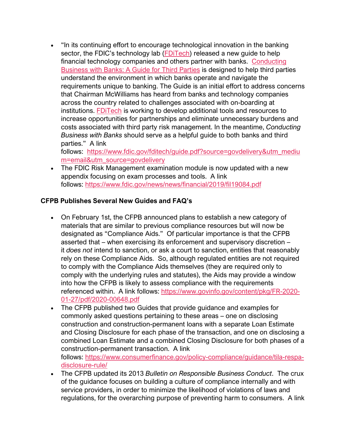• "In its continuing effort to encourage technological innovation in the banking sector, the FDIC's technology lab (FDITech) released a new guide to help financial technology companies and others partner with banks. [Conducting](https://www.fdic.gov/fditech/guide.pdf?source=govdelivery&utm_medium=email&utm_source=govdelivery&utm_campaign=website&utm_source=sendgrid.com&utm_medium=email)  [Business with Banks: A Guide for Third Parties](https://www.fdic.gov/fditech/guide.pdf?source=govdelivery&utm_medium=email&utm_source=govdelivery&utm_campaign=website&utm_source=sendgrid.com&utm_medium=email) is designed to help third parties understand the environment in which banks operate and navigate the requirements unique to banking. The Guide is an initial effort to address concerns that Chairman McWilliams has heard from banks and technology companies across the country related to challenges associated with on-boarding at institutions. [FDiTech](https://www.fdic.gov/fditech/index.html?source=govdelivery&utm_medium=email&utm_source=govdelivery&utm_campaign=website&utm_source=sendgrid.com&utm_medium=email&utm_campaign=website&utm_source=sendgrid.com&utm_medium=email) is working to develop additional tools and resources to increase opportunities for partnerships and eliminate unnecessary burdens and costs associated with third party risk management. In the meantime, *Conducting Business with Banks* should serve as a helpful guide to both banks and third parties." A link

follows: [https://www.fdic.gov/fditech/guide.pdf?source=govdelivery&utm\\_mediu](https://www.fdic.gov/fditech/guide.pdf?source=govdelivery&utm_medium=email&utm_source=govdelivery) [m=email&utm\\_source=govdelivery](https://www.fdic.gov/fditech/guide.pdf?source=govdelivery&utm_medium=email&utm_source=govdelivery)

• The FDIC Risk Management examination module is now updated with a new appendix focusing on exam processes and tools. A link follows: <https://www.fdic.gov/news/news/financial/2019/fil19084.pdf>

#### **CFPB Publishes Several New Guides and FAQ's**

- On February 1st, the CFPB announced plans to establish a new category of materials that are similar to previous compliance resources but will now be designated as "Compliance Aids." Of particular importance is that the CFPB asserted that – when exercising its enforcement and supervisory discretion – it *does not* intend to sanction, or ask a court to sanction, entities that reasonably rely on these Compliance Aids. So, although regulated entities are not required to comply with the Compliance Aids themselves (they are required only to comply with the underlying rules and statutes), the Aids may provide a window into how the CFPB is likely to assess compliance with the requirements referenced within. A link follows: [https://www.govinfo.gov/content/pkg/FR-2020-](https://www.govinfo.gov/content/pkg/FR-2020-01-27/pdf/2020-00648.pdf) [01-27/pdf/2020-00648.pdf](https://www.govinfo.gov/content/pkg/FR-2020-01-27/pdf/2020-00648.pdf)
- The CFPB published two Guides that provide guidance and examples for commonly asked questions pertaining to these areas – one on disclosing construction and construction-permanent loans with a separate Loan Estimate and Closing Disclosure for each phase of the transaction, and one on disclosing a combined Loan Estimate and a combined Closing Disclosure for both phases of a construction-permanent transaction. A link

follows: [https://www.consumerfinance.gov/policy-compliance/guidance/tila-respa](https://www.consumerfinance.gov/policy-compliance/guidance/tila-respa-disclosure-rule/)[disclosure-rule/](https://www.consumerfinance.gov/policy-compliance/guidance/tila-respa-disclosure-rule/)

• The CFPB updated its 2013 *Bulletin on Responsible Business Conduct*. The crux of the guidance focuses on building a culture of compliance internally and with service providers, in order to minimize the likelihood of violations of laws and regulations, for the overarching purpose of preventing harm to consumers. A link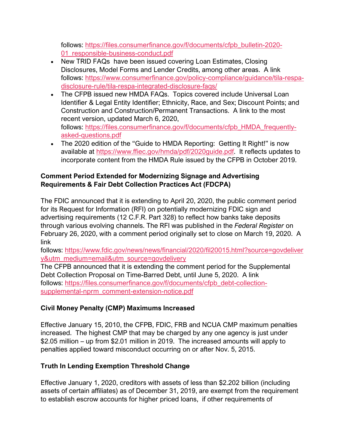follows: [https://files.consumerfinance.gov/f/documents/cfpb\\_bulletin-2020-](https://files.consumerfinance.gov/f/documents/cfpb_bulletin-2020-01_responsible-business-conduct.pdf) 01 responsible-business-conduct.pdf

- New TRID FAQs have been issued covering Loan Estimates, Closing Disclosures, Model Forms and Lender Credits, among other areas. A link follows: [https://www.consumerfinance.gov/policy-compliance/guidance/tila-respa](https://www.consumerfinance.gov/policy-compliance/guidance/tila-respa-disclosure-rule/tila-respa-integrated-disclosure-faqs/)[disclosure-rule/tila-respa-integrated-disclosure-faqs/](https://www.consumerfinance.gov/policy-compliance/guidance/tila-respa-disclosure-rule/tila-respa-integrated-disclosure-faqs/)
- The CFPB issued new HMDA FAQs. Topics covered include Universal Loan Identifier & Legal Entity Identifier; Ethnicity, Race, and Sex; Discount Points; and Construction and Construction/Permanent Transactions. A link to the most recent version, updated March 6, 2020, follows: [https://files.consumerfinance.gov/f/documents/cfpb\\_HMDA\\_frequently](https://files.consumerfinance.gov/f/documents/cfpb_HMDA_frequently-asked-questions.pdf)[asked-questions.pdf](https://files.consumerfinance.gov/f/documents/cfpb_HMDA_frequently-asked-questions.pdf)
- The 2020 edition of the "Guide to HMDA Reporting: Getting It Right!" is now available at [https://www.ffiec.gov/hmda/pdf/2020guide.pdf.](https://www.ffiec.gov/hmda/pdf/2020guide.pdf) It reflects updates to incorporate content from the HMDA Rule issued by the CFPB in October 2019.

## **Comment Period Extended for Modernizing Signage and Advertising Requirements & Fair Debt Collection Practices Act (FDCPA)**

The FDIC announced that it is extending to April 20, 2020, the public comment period for its Request for Information (RFI) on potentially modernizing FDIC sign and advertising requirements (12 C.F.R. Part 328) to reflect how banks take deposits through various evolving channels. The RFI was published in the *Federal Register* on February 26, 2020, with a comment period originally set to close on March 19, 2020. A link

follows: [https://www.fdic.gov/news/news/financial/2020/fil20015.html?source=govdeliver](https://www.fdic.gov/news/news/financial/2020/fil20015.html?source=govdelivery&utm_medium=email&utm_source=govdelivery) [y&utm\\_medium=email&utm\\_source=govdelivery](https://www.fdic.gov/news/news/financial/2020/fil20015.html?source=govdelivery&utm_medium=email&utm_source=govdelivery)

The CFPB announced that it is extending the comment period for the Supplemental Debt Collection Proposal on Time-Barred Debt, until June 5, 2020. A link follows: [https://files.consumerfinance.gov/f/documents/cfpb\\_debt-collection](https://files.consumerfinance.gov/f/documents/cfpb_debt-collection-supplemental-nprm_comment-extension-notice.pdf)[supplemental-nprm\\_comment-extension-notice.pdf](https://files.consumerfinance.gov/f/documents/cfpb_debt-collection-supplemental-nprm_comment-extension-notice.pdf)

# **Civil Money Penalty (CMP) Maximums Increased**

Effective January 15, 2010, the CFPB, FDIC, FRB and NCUA CMP maximum penalties increased. The highest CMP that may be charged by any one agency is just under \$2.05 million – up from \$2.01 million in 2019. The increased amounts will apply to penalties applied toward misconduct occurring on or after Nov. 5, 2015.

# **Truth In Lending Exemption Threshold Change**

Effective January 1, 2020, creditors with assets of less than \$2.202 billion (including assets of certain affiliates) as of December 31, 2019, are exempt from the requirement to establish escrow accounts for higher priced loans, if other requirements of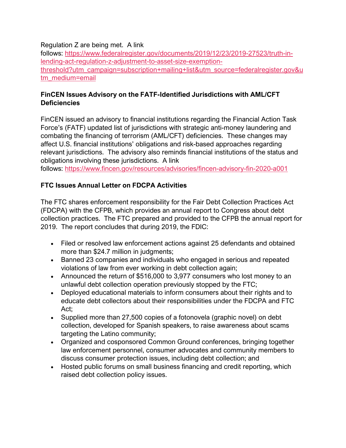#### Regulation Z are being met. A link

follows: [https://www.federalregister.gov/documents/2019/12/23/2019-27523/truth-in](https://www.federalregister.gov/documents/2019/12/23/2019-27523/truth-in-lending-act-regulation-z-adjustment-to-asset-size-exemption-threshold?utm_campaign=subscription+mailing+list&utm_source=federalregister.gov&utm_medium=email)[lending-act-regulation-z-adjustment-to-asset-size-exemption](https://www.federalregister.gov/documents/2019/12/23/2019-27523/truth-in-lending-act-regulation-z-adjustment-to-asset-size-exemption-threshold?utm_campaign=subscription+mailing+list&utm_source=federalregister.gov&utm_medium=email)[threshold?utm\\_campaign=subscription+mailing+list&utm\\_source=federalregister.gov&u](https://www.federalregister.gov/documents/2019/12/23/2019-27523/truth-in-lending-act-regulation-z-adjustment-to-asset-size-exemption-threshold?utm_campaign=subscription+mailing+list&utm_source=federalregister.gov&utm_medium=email) [tm\\_medium=email](https://www.federalregister.gov/documents/2019/12/23/2019-27523/truth-in-lending-act-regulation-z-adjustment-to-asset-size-exemption-threshold?utm_campaign=subscription+mailing+list&utm_source=federalregister.gov&utm_medium=email)

#### **FinCEN Issues Advisory on the FATF-Identified Jurisdictions with AML/CFT Deficiencies**

FinCEN issued an advisory to financial institutions regarding the Financial Action Task Force's (FATF) updated list of jurisdictions with strategic anti-money laundering and combating the financing of terrorism (AML/CFT) deficiencies. These changes may affect U.S. financial institutions' obligations and risk-based approaches regarding relevant jurisdictions. The advisory also reminds financial institutions of the status and obligations involving these jurisdictions. A link

follows: <https://www.fincen.gov/resources/advisories/fincen-advisory-fin-2020-a001>

#### **FTC Issues Annual Letter on FDCPA Activities**

The FTC shares enforcement responsibility for the Fair Debt Collection Practices Act (FDCPA) with the CFPB, which provides an annual report to Congress about debt collection practices. The FTC prepared and provided to the CFPB the annual report for 2019. The report concludes that during 2019, the FDIC:

- Filed or resolved law enforcement actions against 25 defendants and obtained more than \$24.7 million in judgments;
- Banned 23 companies and individuals who engaged in serious and repeated violations of law from ever working in debt collection again;
- Announced the return of \$516,000 to 3,977 consumers who lost money to an unlawful debt collection operation previously stopped by the FTC;
- Deployed educational materials to inform consumers about their rights and to educate debt collectors about their responsibilities under the FDCPA and FTC Act;
- Supplied more than 27,500 copies of a fotonovela (graphic novel) on debt collection, developed for Spanish speakers, to raise awareness about scams targeting the Latino community;
- Organized and cosponsored Common Ground conferences, bringing together law enforcement personnel, consumer advocates and community members to discuss consumer protection issues, including debt collection; and
- Hosted public forums on small business financing and credit reporting, which raised debt collection policy issues.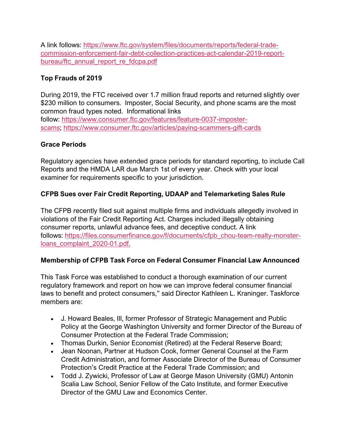A link follows: [https://www.ftc.gov/system/files/documents/reports/federal-trade](https://www.ftc.gov/system/files/documents/reports/federal-trade-commission-enforcement-fair-debt-collection-practices-act-calendar-2019-report-bureau/ftc_annual_report_re_fdcpa.pdf)[commission-enforcement-fair-debt-collection-practices-act-calendar-2019-report](https://www.ftc.gov/system/files/documents/reports/federal-trade-commission-enforcement-fair-debt-collection-practices-act-calendar-2019-report-bureau/ftc_annual_report_re_fdcpa.pdf)[bureau/ftc\\_annual\\_report\\_re\\_fdcpa.pdf](https://www.ftc.gov/system/files/documents/reports/federal-trade-commission-enforcement-fair-debt-collection-practices-act-calendar-2019-report-bureau/ftc_annual_report_re_fdcpa.pdf)

## **Top Frauds of 2019**

During 2019, the FTC received over 1.7 million fraud reports and returned slightly over \$230 million to consumers. Imposter, Social Security, and phone scams are the most common fraud types noted. Informational links follow: [https://www.consumer.ftc.gov/features/feature-0037-imposter](https://www.consumer.ftc.gov/features/feature-0037-imposter-scams)[scams;](https://www.consumer.ftc.gov/features/feature-0037-imposter-scams) <https://www.consumer.ftc.gov/articles/paying-scammers-gift-cards>

## **Grace Periods**

Regulatory agencies have extended grace periods for standard reporting, to include Call Reports and the HMDA LAR due March 1st of every year. Check with your local examiner for requirements specific to your jurisdiction.

## **CFPB Sues over Fair Credit Reporting, UDAAP and Telemarketing Sales Rule**

The CFPB recently filed suit against multiple firms and individuals allegedly involved in violations of the Fair Credit Reporting Act. Charges included illegally obtaining consumer reports, unlawful advance fees, and deceptive conduct. A link follows: [https://files.consumerfinance.gov/f/documents/cfpb\\_chou-team-realty-monster](https://files.consumerfinance.gov/f/documents/cfpb_chou-team-realty-monster-loans_complaint_2020-01.pdf.)[loans\\_complaint\\_2020-01.pdf.](https://files.consumerfinance.gov/f/documents/cfpb_chou-team-realty-monster-loans_complaint_2020-01.pdf.)

#### **Membership of CFPB Task Force on Federal Consumer Financial Law Announced**

This Task Force was established to conduct a thorough examination of our current regulatory framework and report on how we can improve federal consumer financial laws to benefit and protect consumers," said Director Kathleen L. Kraninger. Taskforce members are:

- J. Howard Beales, III, former Professor of Strategic Management and Public Policy at the George Washington University and former Director of the Bureau of Consumer Protection at the Federal Trade Commission;
- Thomas Durkin, Senior Economist (Retired) at the Federal Reserve Board;
- Jean Noonan, Partner at Hudson Cook, former General Counsel at the Farm Credit Administration, and former Associate Director of the Bureau of Consumer Protection's Credit Practice at the Federal Trade Commission; and
- Todd J. Zywicki, Professor of Law at George Mason University (GMU) Antonin Scalia Law School, Senior Fellow of the Cato Institute, and former Executive Director of the GMU Law and Economics Center.